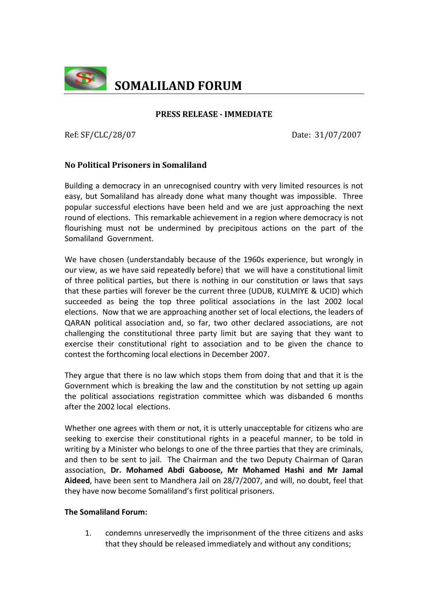

## **PRESS RELEASE IMMEDIATE**

Ref: SF/CLC/28/07 Date: 31/07/2007

# **No Political Prisoners in Somaliland**

Building a democracy in an unrecognised country with very limited resources is not easy, but Somaliland has already done what many thought was impossible. Three popular successful elections have been held and we are just approaching the next round of elections. This remarkable achievement in a region where democracy is not flourishing must not be undermined by precipitous actions on the part of the Somaliland Government.

We have chosen (understandably because of the 1960s experience, but wrongly in our view, as we have said repeatedly before) that we will have a constitutional limit of three political parties, but there is nothing in our constitution or laws that says that these parties will forever be the current three (UDUB, KULMIYE & UCID) which succeeded as being the top three political associations in the last 2002 local elections. Now that we are approaching another set of local elections, the leaders of QARAN political association and, so far, two other declared associations, are not challenging the constitutional three party limit but are saying that they want to exercise their constitutional right to association and to be given the chance to contest the forthcoming local elections in December 2007.

They argue that there is no law which stops them from doing that and that it is the Government which is breaking the law and the constitution by not setting up again the political associations registration committee which was disbanded 6 months after the 2002 local elections.

Whether one agrees with them or not, it is utterly unacceptable for citizens who are seeking to exercise their constitutional rights in a peaceful manner, to be told in writing by a Minister who belongs to one of the three parties that they are criminals, and then to be sent to jail. The Chairman and the two Deputy Chairman of Qaran association, **Dr. Mohamed Abdi Gaboose, Mr Mohamed Hashi and Mr Jamal Aideed**, have been sent to Mandhera Jail on 28/7/2007, and will, no doubt, feel that they have now become Somaliland's first political prisoners.

## **The Somaliland Forum:**

1. condemns unreservedly the imprisonment of the three citizens and asks that they should be released immediately and without any conditions;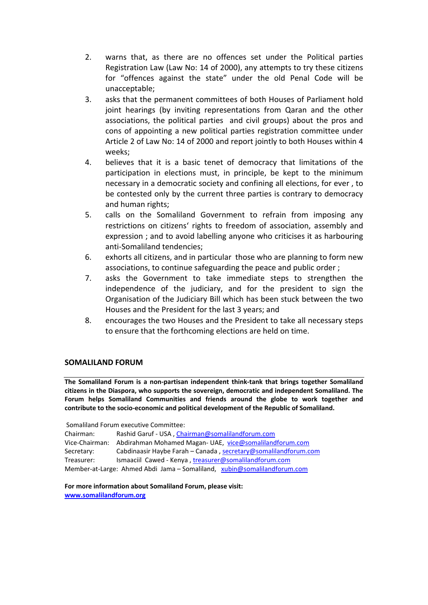- 2. warns that, as there are no offences set under the Political parties Registration Law (Law No: 14 of 2000), any attempts to try these citizens for "offences against the state" under the old Penal Code will be unacceptable;
- 3. asks that the permanent committees of both Houses of Parliament hold joint hearings (by inviting representations from Qaran and the other associations, the political parties and civil groups) about the pros and cons of appointing a new political parties registration committee under Article 2 of Law No: 14 of 2000 and report jointly to both Houses within 4 weeks;
- 4. believes that it is a basic tenet of democracy that limitations of the participation in elections must, in principle, be kept to the minimum necessary in a democratic society and confining all elections, for ever , to be contested only by the current three parties is contrary to democracy and human rights;
- 5. calls on the Somaliland Government to refrain from imposing any restrictions on citizens' rights to freedom of association, assembly and expression ; and to avoid labelling anyone who criticises it as harbouring anti‐Somaliland tendencies;
- 6. exhorts all citizens, and in particular those who are planning to form new associations, to continue safeguarding the peace and public order ;
- 7. asks the Government to take immediate steps to strengthen the independence of the judiciary, and for the president to sign the Organisation of the Judiciary Bill which has been stuck between the two Houses and the President for the last 3 years; and
- 8. encourages the two Houses and the President to take all necessary steps to ensure that the forthcoming elections are held on time.

## **SOMALILAND FORUM**

**The Somaliland Forum is a non‐partisan independent think‐tank that brings together Somaliland citizens in the Diaspora, who supports the sovereign, democratic and independent Somaliland. The Forum helps Somaliland Communities and friends around the globe to work together and contribute to the socio‐economic and political development of the Republic of Somaliland.**

Somaliland Forum executive Committee:

Chairman: Rashid Garuf ‐ USA , Chairman@somalilandforum.com Vice‐Chairman: Abdirahman Mohamed Magan‐ UAE, vice@somalilandforum.com Secretary: Cabdinaasir Haybe Farah – Canada , secretary@somalilandforum.com Treasurer: Ismaaciil Cawed ‐ Kenya , treasurer@somalilandforum.com Member-at-Large: Ahmed Abdi Jama – Somaliland, xubin@somalilandforum.com

**For more information about Somaliland Forum, please visit: www.somalilandforum.org**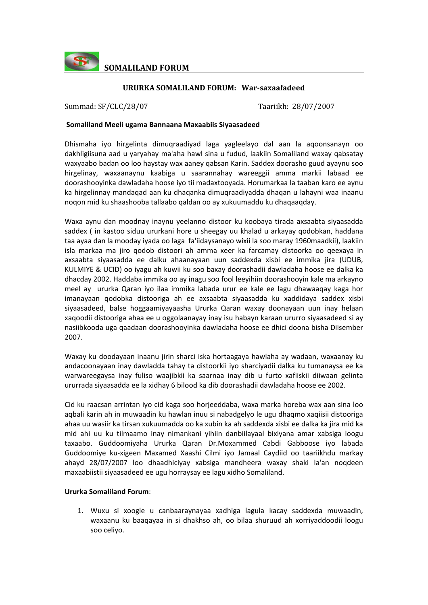

**SOMALILAND FORUM**

### **URURKA SOMALILAND FORUM: Warsaxaafadeed**

Summad: SF/CLC/28/07 Taariikh: 28/07/2007

#### **Somaliland Meeli ugama Bannaana Maxaabiis Siyaasadeed**

Dhismaha iyo hirgelinta dimuqraadiyad laga yagleelayo dal aan la aqoonsanayn oo dakhligiisuna aad u yaryahay ma'aha hawl sina u fudud, laakiin Somaliland waxay qabsatay waxyaabo badan oo loo haystay wax aaney qabsan Karin. Saddex doorasho guud ayaynu soo hirgelinay, waxaanaynu kaabiga u saarannahay wareeggii amma markii labaad ee doorashooyinka dawladaha hoose iyo tii madaxtooyada. Horumarkaa la taaban karo ee aynu ka hirgelinnay mandaqad aan ku dhaqanka dimuqraadiyadda dhaqan u lahayni waa inaanu noqon mid ku shaashooba tallaabo qaldan oo ay xukuumaddu ku dhaqaaqday.

Waxa aynu dan moodnay inaynu yeelanno distoor ku koobaya tirada axsaabta siyaasadda saddex ( in kastoo siduu ururkani hore u sheegay uu khalad u arkayay qodobkan, haddana taa ayaa dan la mooday iyada oo laga fa'iidaysanayo wixii la soo maray 1960maadkii), laakiin isla markaa ma jiro qodob distoori ah amma xeer ka farcamay distoorka oo qeexaya in axsaabta siyaasadda ee dalku ahaanayaan uun saddexda xisbi ee immika jira (UDUB, KULMIYE & UCID) oo iyagu ah kuwii ku soo baxay doorashadii dawladaha hoose ee dalka ka dhacday 2002. Haddaba immika oo ay inagu soo fool leeyihiin doorashooyin kale ma arkayno meel ay ururka Qaran iyo ilaa immika labada urur ee kale ee lagu dhawaaqay kaga hor imanayaan qodobka distooriga ah ee axsaabta siyaasadda ku xaddidaya saddex xisbi siyaasadeed, balse hoggaamiyayaasha Ururka Qaran waxay doonayaan uun inay helaan xaqoodii distooriga ahaa ee u oggolaanayay inay isu habayn karaan ururro siyaasadeed si ay nasiibkooda uga qaadaan doorashooyinka dawladaha hoose ee dhici doona bisha Diisember 2007.

Waxay ku doodayaan inaanu jirin sharci iska hortaagaya hawlaha ay wadaan, waxaanay ku andacoonayaan inay dawladda tahay ta distoorkii iyo sharciyadii dalka ku tumanaysa ee ka warwareegaysa inay fuliso waajibkii ka saarnaa inay dib u furto xafiiskii diiwaan gelinta ururrada siyaasadda ee la xidhay 6 bilood ka dib doorashadii dawladaha hoose ee 2002.

Cid ku raacsan arrintan iyo cid kaga soo horjeeddaba, waxa marka horeba wax aan sina loo aqbali karin ah in muwaadin ku hawlan inuu si nabadgelyo le ugu dhaqmo xaqiisii distooriga ahaa uu wasiir ka tirsan xukuumadda oo ka xubin ka ah saddexda xisbi ee dalka ka jira mid ka mid ahi uu ku tilmaamo inay nimankani yihiin danbiilayaal bixiyana amar xabsiga loogu taxaabo. Guddoomiyaha Ururka Qaran Dr.Moxammed Cabdi Gabboose iyo labada Guddoomiye ku‐xigeen Maxamed Xaashi Cilmi iyo Jamaal Caydiid oo taariikhdu markay ahayd 28/07/2007 loo dhaadhiciyay xabsiga mandheera waxay shaki la'an noqdeen maxaabiistii siyaasadeed ee ugu horraysay ee lagu xidho Somaliland.

#### **Ururka Somaliland Forum**:

1. Wuxu si xoogle u canbaaraynayaa xadhiga lagula kacay saddexda muwaadin, waxaanu ku baaqayaa in si dhakhso ah, oo bilaa shuruud ah xorriyaddoodii loogu soo celiyo.